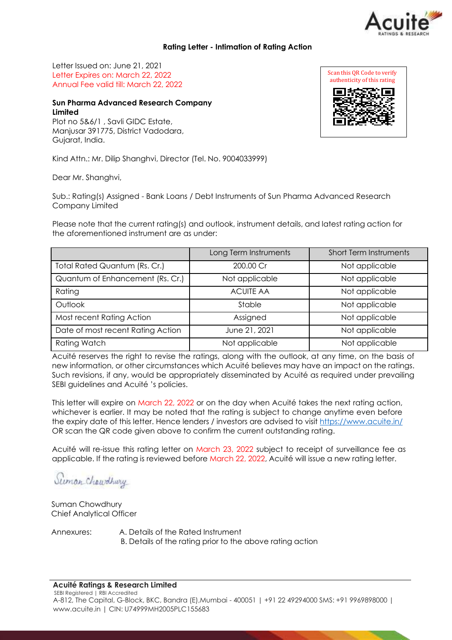

### **Rating Letter - Intimation of Rating Action**

Letter Issued on: June 21, 2021 Letter Expires on: March 22, 2022 Annual Fee valid till: March 22, 2022

# **Sun Pharma Advanced Research Company Limited**

Plot no 5&6/1 , Savli GIDC Estate, Manjusar 391775, District Vadodara, Gujarat, India.

Kind Attn.: Mr. Dilip Shanghvi, Director (Tel. No. 9004033999)

Dear Mr. Shanghvi,

Sub.: Rating(s) Assigned - Bank Loans / Debt Instruments of Sun Pharma Advanced Research Company Limited

Please note that the current rating(s) and outlook, instrument details, and latest rating action for the aforementioned instrument are as under:

|                                   | Long Term Instruments | <b>Short Term Instruments</b> |
|-----------------------------------|-----------------------|-------------------------------|
| Total Rated Quantum (Rs. Cr.)     | 200.00 Cr             | Not applicable                |
| Quantum of Enhancement (Rs. Cr.)  | Not applicable        | Not applicable                |
| Rating                            | <b>ACUITE AA</b>      | Not applicable                |
| Outlook                           | Stable                | Not applicable                |
| Most recent Rating Action         | Assigned              | Not applicable                |
| Date of most recent Rating Action | June 21, 2021         | Not applicable                |
| <b>Rating Watch</b>               | Not applicable        | Not applicable                |

Acuité reserves the right to revise the ratings, along with the outlook, at any time, on the basis of new information, or other circumstances which Acuité believes may have an impact on the ratings. Such revisions, if any, would be appropriately disseminated by Acuité as required under prevailing SEBI guidelines and Acuité 's policies.

This letter will expire on March 22, 2022 or on the day when Acuité takes the next rating action, whichever is earlier. It may be noted that the rating is subject to change anytime even before the expiry date of this letter. Hence lenders / investors are advised to visit [https://www.acuite.in/](http://www.acuite.in/) OR scan the QR code given above to confirm the current outstanding rating.

Acuité will re-issue this rating letter on March 23, 2022 subject to receipt of surveillance fee as applicable. If the rating is reviewed before March 22, 2022, Acuité will issue a new rating letter.

Suman Chawdhury

Suman Chowdhury Chief Analytical Officer

Annexures: A. Details of the Rated Instrument B. Details of the rating prior to the above rating action

#### **Acuité Ratings & Research Limited**

SEBI Registered | RBI Accredited A-812, The Capital, G-Block, BKC, Bandra (E),Mumbai - 400051 | +91 22 49294000 SMS: +91 9969898000 | [www.acuite.in](http://www.acuite.in/) | CIN: U74999MH2005PLC155683